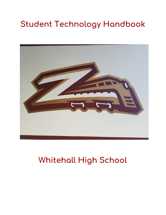# **Student Technology Handbook**



## **Whitehall High School**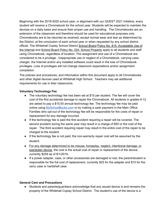Beginning with the 2019-2020 school year, in alignment with our QUEST 2021 initiative, every student will receive a Chromebook for the school year. Students will be expected to maintain the devices on a daily basis and ensure their proper use and handling. The Chromebooks are an extension of the classroom and therefore should be used for educational purposes only. Chromebooks are to be returned as received, except normal wear and tear as determined by the District, at the conclusion of each school year or when requested by any school district official. The Whitehall Coplay School District School Board Policy No. 815: Acceptable Use of the Internet and School Board Policy No. 224: School Property apply to all students and staff using Chromebook, regardless of location. The assignment and use of a Chromebook are considered to be a privilege. Inappropriate use or neglect of a Chromebook, carrying case, charger, the Internet and/or any installed software could result in the loss of Chromebook privileges. Loss of privileges will not change classroom expectations and/or assignment completion.

The policies and procedures, and information within this document apply to all Chromebooks and other digital devices used at Whitehall High School. Teachers may set additional requirements for use in their classrooms.

## **Voluntary Technology Fee**

- **●** The voluntary technology fee has been set at \$15 per student. The fee will cover the cost of the first accidental damage to repair the Chromebook. All students in grades 9-12 are asked to pay a \$15.00 annual technology fee. The technology fee may be paid online usin[g](http://www.wilsonsd.org/Page/8665) [MySchoolBucks.com](https://www.myschoolbucks.com/) or by making a cash payment in the Main Office. Families who opt-out of the technology fee will be responsible for the costs of repair or replacement for any damage incurred.
- **●** If the technology fee is paid the first accident requiring a repair will be covered. The second accident during the same year may result in a charge of \$50 or the cost of the repair. The third accident requiring repair may result in the entire cost of the repair to be charged to the student.
- **●** If the technology fee is not paid, the non-warranty repair cost will be assumed by the student.
- **●** For any damage determined to be misuse, horseplay, neglect, intentional damage, or lost/stolen device, the cost is the actual cost of repair or replacement of the device, currently \$259 as of 8/1/2019.
- **●** If a power adapter, case, or other accessories are damaged or lost, the parent/student is responsible for the full cost of replacement, currently \$25 for the adapter and \$10 for the carry case or hardshell case.

## **General Care and Precautions**

● Students and parents/guardians acknowledge that any issued device is and remains the property of the Whitehall Coplay School District. The student's use of the device is a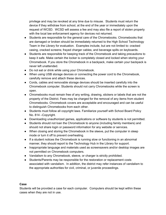privilege and may be revoked at any time due to misuse. Students must return the device if they withdraw from school, at the end of the year or immediately upon the request of WCSD. WCSD will assess a fee and may also file a report of stolen property with the local law enforcement agency for devices not returned.

- Students are responsible for the general care of the Chromebooks. Chromebooks that are damaged or broken should be immediately returned to the High School Technology Team in the Library for evaluation. Examples include, but are not limited to: cracked casing, cracked screens; frayed charger cables; and beverage spills on keyboards.
- Students are responsible for keeping track of the Chromebook and taking precautions to keep it safe. Make certain the locker is completely closed and locked when storing your Chromebook. If you store the Chromebook in a backpack, make certain your backpack is never left unattended.
- Do not eat or drink while using your Chromebook.
- When using USB storage devices or connecting the power cord to the Chromebook, carefully remove and attach these devices.
- Cords, cables and removable storage devices should be inserted carefully into the Chromebook computer. Students should not carry Chromebooks while the screen is open.
- Chromebooks must remain free of any writing, drawing, stickers or labels that are not the property of the District. Fees may be charged for the removal of any items from student Chromebooks. Chromebook covers are acceptable and encouraged and can be useful to distinguish Chromebooks from each other.
- Students must follow all copyright laws. Familiarize yourself with School Board Policy No. 814 –Copyright.
- Downloading unauthorized games, applications or software by students is not permitted.
- Students should not loan the Chromebook to anyone (including family members) and should not share login or password information for any website or services.
- When closing and storing the Chromebook in the sleeve, put the computer in sleep mode or turn it off to prevent overheating.
- If a student notices the Chromebook is running slow or functioning in an abnormal manner, they should report to the Technology Hub in the Library for support.
- Inappropriate language and materials used as screensavers and/or desktop images are not permitted on Chromebook computers.
- Vandalism to any Chromebook, sleeve, or charger is strictly prohibited.
- Students/Parents may be responsible for the restoration or replacement costs associated with vandalism. In addition, the district may refer instances of vandalism to the appropriate authorities for civil, criminal, or juvenile proceedings.

## **Case**

Students will be provided a case for each computer. Computers should be kept within these cases when they are not in use.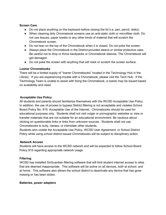#### **Screen Care**

- Do not place anything on the keyboard before closing the lid (i.e. pen, pencil, disks).
- When cleaning dirty Chromebook screens use an anti-static cloth or microfiber cloth. Do not use tissues, paper towels or any other kinds of material that will scratch the Chromebook screen.
- Do not lean on the top of the Chromebook when it is closed. Do not poke the screen.
- Always place the Chromebook in the District-provided sleeve or similar protective case. Be careful not to drop or throw backpacks or Chromebook sleeves. The Chromebook will get damaged.
- Do not poke the screen with anything that will mark or scratch the screen surface.

## **Loaner Chromebooks**

There will be a limited supply of "loaner Chromebooks" located in the Technology Hub in the LIbrary. If you are experiencing trouble with a Chromebook, please visit the Tech Hub. If the Technology Team is unable to assist with fixing the Chromebook, a loaner may be issued based on availability and need.

## **Acceptable Use Policy**

All students and parents should familiarize themselves with the WCSD Acceptable Use Policy. In addition, the use of proxies to bypass District filtering is not acceptable and violates School Board Policy No. 815: Acceptable Use of the Internet. Chromebooks should be used for educational purposes only. Students shall not visit vulgar or pornographic websites or view or transfer materials that are not suitable for an educational environment. Be cautious about clicking on questionable links or links from unknown sources. Students shall not use Chromebooks to bully, harass, or intimidate other students.

Students who violate the Acceptable Use Policy, WCSD User Agreement, or School District Policy while using school district issued Chromebooks will be subject to disciplinary action.

## **Network Access**

Students will have access to the WCSD network and will be expected to follow School Board Policy 815 regarding appropriate network usage.

## **Filtering**

WCSD has installed GoGuardian filtering software that will limit student internet access to sites that are deemed inappropriate. This software will be active on all devices, both at school, and at home. This software also allows the school district to deactivate any device that has gone missing or has been stolen.

## **Batteries, power adapters**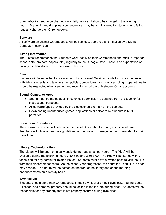Chromebooks need to be charged on a daily basis and should be charged in the overnight hours. Academic and disciplinary consequences may be administered for students who fail to regularly charge their Chromebooks.

#### **Software**

All software on District Chromebooks will be licensed, approved and installed by a District Computer Technician.

#### **Saving Information**

The District recommends that Students work locally on their Chromebook and backup important school data (projects, papers, etc.) regularly to their Google Drive. There is no expectation of privacy for data stored on school-issued devices.

#### **Email**

Students will be expected to use a school district issued Gmail accounts for correspondence with fellow students and teachers. All policies, procedures, and practices ruling proper etiquette should be respected when sending and receiving email through student Gmail accounts.

#### **Sound, Games, or Apps**

- Sound must be muted at all times unless permission is obtained from the teacher for instructional purposes.
- All software/apps provided by the district should remain on the computer.
- Downloading unauthorized games, applications or software by students is NOT permitted.

## **Classroom Procedures**

The classroom teacher will determine the use of Chromebooks during instructional time. Teachers will follow appropriate guidelines for the use and management of Chromebooks during class time.

## **Library/ Technology Hub**

The Library will be open on a daily basis during regular school hours. The "Hub" will be available during the following hours 7:30-8:00 and 2:30-3:00. The Hub will be staffed with a technician for any computer-related issues. Students must have a written pass to visit the Hub from their classroom teachers. As the school year progresses, the hours the Tech Hub is open may change. The hours will be posted on the front of the library and on the morning announcements on a weekly basis.

## **Gymnasium**

Students should store their Chromebooks in their own locker or their gym locker during class. All school and personal property should be locked in the lockers during class. Students will be responsible for any property that is not properly secured during gym class.